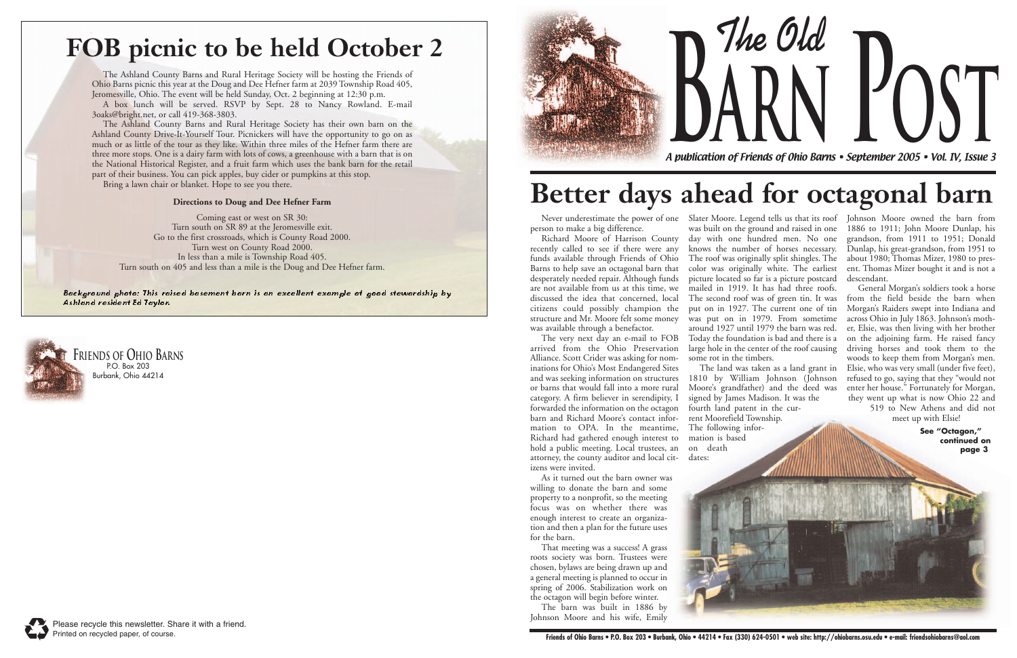**The Old**



A publication of Friends of Ohio Barns • September 2005 • Vol. IV, Issue 3 **arn Post**



# **FOB picnic to be held October 2**

Background photo: This raised basement barn is an excellent example of good stewardship by Ashland resident Ed Taylor.

The Ashland County Barns and Rural Heritage Society will be hosting the Friends of Ohio Barns picnic this year at the Doug and Dee Hefner farm at 2039 Township Road 405, Jeromesville, Ohio. The event will be held Sunday, Oct. 2 beginning at 12:30 p.m.

A box lunch will be served. RSVP by Sept. 28 to Nancy Rowland. E-mail 3oaks@bright.net, or call 419-368-3803.

The Ashland County Barns and Rural Heritage Society has their own barn on the Ashland County Drive-It-Yourself Tour. Picnickers will have the opportunity to go on as much or as little of the tour as they like. Within three miles of the Hefner farm there are three more stops. One is a dairy farm with lots of cows, a greenhouse with a barn that is on the National Historical Register, and a fruit farm which uses the bank barn for the retail part of their business. You can pick apples, buy cider or pumpkins at this stop.

Bring a lawn chair or blanket. Hope to see you there.

#### **Directions to Doug and Dee Hefner Farm**

Coming east or west on SR 30: Turn south on SR 89 at the Jeromesville exit. Go to the first crossroads, which is County Road 2000. Turn west on County Road 2000. In less than a mile is Township Road 405. Turn south on 405 and less than a mile is the Doug and Dee Hefner farm. person to make a big difference.

Richard Moore of Harrison County recently called to see if there were any funds available through Friends of Ohio Barns to help save an octagonal barn that desperately needed repair. Although funds are not available from us at this time, we discussed the idea that concerned, local citizens could possibly champion the structure and Mr. Moore felt some money was available through a benefactor.

The very next day an e-mail to FOB arrived from the Ohio Preservation Alliance. Scott Crider was asking for nominations for Ohio's Most Endangered Sites and was seeking information on structures or barns that would fall into a more rural category. A firm believer in serendipity, I forwarded the information on the octagon barn and Richard Moore's contact information to OPA. In the meantime, Richard had gathered enough interest to hold a public meeting. Local trustees, an attorney, the county auditor and local citizens were invited.

Never underestimate the power of one Slater Moore. Legend tells us that its roof Johnson Moore owned the barn from was built on the ground and raised in one day with one hundred men. No one knows the number of horses necessary. The roof was originally split shingles. The color was originally white. The earliest picture located so far is a picture postcard mailed in 1919. It has had three roofs. The second roof was of green tin. It was put on in 1927. The current one of tin was put on in 1979. From sometime around 1927 until 1979 the barn was red. Today the foundation is bad and there is a large hole in the center of the roof causing some rot in the timbers.

As it turned out the barn owner was willing to donate the barn and some property to a nonprofit, so the meeting focus was on whether there was enough interest to create an organization and then a plan for the future uses for the barn.

That meeting was a success! A grass roots society was born. Trustees were chosen, bylaws are being drawn up and a general meeting is planned to occur in spring of 2006. Stabilization work on the octagon will begin before winter.

The barn was built in 1886 by Johnson Moore and his wife, Emily The land was taken as a land grant in

1810 by William Johnson (Johnson Moore's grandfather) and the deed was signed by James Madison. It was the fourth land patent in the current Moorefield Township. The following information is based on death dates:



1886 to 1911; John Moore Dunlap, his grandson, from 1911 to 1951; Donald Dunlap, his great-grandson, from 1951 to about 1980; Thomas Mizer, 1980 to present. Thomas Mizer bought it and is not a descendant.

General Morgan's soldiers took a horse from the field beside the barn when Morgan's Raiders swept into Indiana and across Ohio in July 1863. Johnson's mother, Elsie, was then living with her brother on the adjoining farm. He raised fancy driving horses and took them to the woods to keep them from Morgan's men. Elsie, who was very small (under five feet), refused to go, saying that they "would not enter her house." Fortunately for Morgan, they went up what is now Ohio 22 and 519 to New Athens and did not

meet up with Elsie!

**See "Octagon," continued on page 3**

# **Better days ahead for octagonal barn**